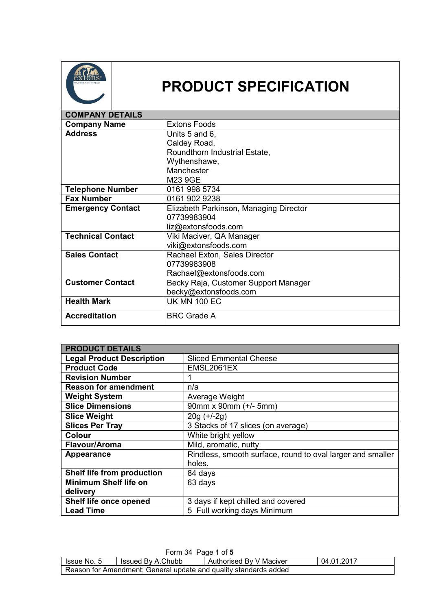

## **PRODUCT SPECIFICATION**

| <b>COMPANY DETAILS</b>   |                                        |  |
|--------------------------|----------------------------------------|--|
| <b>Company Name</b>      | <b>Extons Foods</b>                    |  |
| <b>Address</b>           | Units 5 and 6,                         |  |
|                          | Caldey Road,                           |  |
|                          | Roundthorn Industrial Estate,          |  |
|                          | Wythenshawe,                           |  |
|                          | Manchester                             |  |
|                          | M23 9GE                                |  |
| <b>Telephone Number</b>  | 0161 998 5734                          |  |
| <b>Fax Number</b>        | 0161 902 9238                          |  |
| <b>Emergency Contact</b> | Elizabeth Parkinson, Managing Director |  |
|                          | 07739983904                            |  |
|                          | liz@extonsfoods.com                    |  |
| <b>Technical Contact</b> | Viki Maciver, QA Manager               |  |
|                          | viki@extonsfoods.com                   |  |
| <b>Sales Contact</b>     | Rachael Exton, Sales Director          |  |
|                          | 07739983908                            |  |
|                          | Rachael@extonsfoods.com                |  |
| <b>Customer Contact</b>  | Becky Raja, Customer Support Manager   |  |
|                          | becky@extonsfoods.com                  |  |
| <b>Health Mark</b>       | <b>UK MN 100 EC</b>                    |  |
| <b>Accreditation</b>     | <b>BRC Grade A</b>                     |  |

| <b>PRODUCT DETAILS</b>           |                                                            |  |
|----------------------------------|------------------------------------------------------------|--|
| <b>Legal Product Description</b> | <b>Sliced Emmental Cheese</b>                              |  |
| <b>Product Code</b>              | EMSL2061EX                                                 |  |
| <b>Revision Number</b>           | 1                                                          |  |
| <b>Reason for amendment</b>      | n/a                                                        |  |
| <b>Weight System</b>             | Average Weight                                             |  |
| <b>Slice Dimensions</b>          | 90mm x 90mm (+/- 5mm)                                      |  |
| <b>Slice Weight</b>              | $20g (+/-2g)$                                              |  |
| <b>Slices Per Tray</b>           | 3 Stacks of 17 slices (on average)                         |  |
| <b>Colour</b>                    | White bright yellow                                        |  |
| Flavour/Aroma                    | Mild, aromatic, nutty                                      |  |
| Appearance                       | Rindless, smooth surface, round to oval larger and smaller |  |
|                                  | holes.                                                     |  |
| Shelf life from production       | 84 days                                                    |  |
| <b>Minimum Shelf life on</b>     | 63 days                                                    |  |
| delivery                         |                                                            |  |
| Shelf life once opened           | 3 days if kept chilled and covered                         |  |
| <b>Lead Time</b>                 | 5 Full working days Minimum                                |  |

| Form 34 Page 1 of 5                                                         |  |  |  |  |
|-----------------------------------------------------------------------------|--|--|--|--|
| 04.01.2017<br>Issued By A.Chubb<br>Authorised By V Maciver<br>I Issue No. 5 |  |  |  |  |
| Reason for Amendment; General update and quality standards added            |  |  |  |  |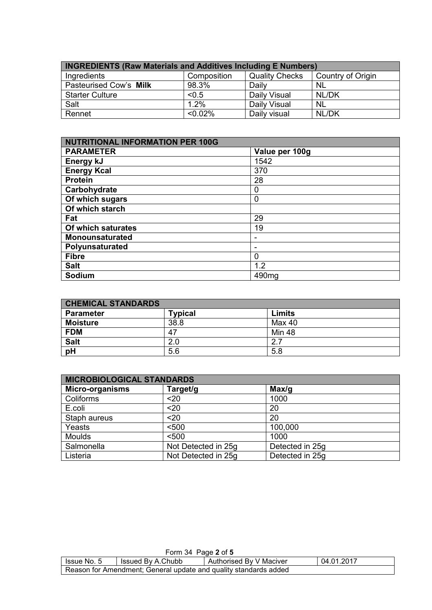| <b>INGREDIENTS (Raw Materials and Additives Including E Numbers)</b> |             |                       |                   |
|----------------------------------------------------------------------|-------------|-----------------------|-------------------|
| Ingredients                                                          | Composition | <b>Quality Checks</b> | Country of Origin |
| Pasteurised Cow's Milk                                               | 98.3%       | Daily                 | <b>NL</b>         |
| <b>Starter Culture</b>                                               | < 0.5       | Daily Visual          | NL/DK             |
| Salt                                                                 | 1.2%        | Daily Visual          | <b>NL</b>         |
| Rennet                                                               | $< 0.02\%$  | Daily visual          | NL/DK             |

| NUTRITIONAL INFORMATION PER 100G |                   |  |
|----------------------------------|-------------------|--|
| <b>PARAMETER</b>                 | Value per 100g    |  |
| Energy kJ                        | 1542              |  |
| <b>Energy Kcal</b>               | 370               |  |
| <b>Protein</b>                   | 28                |  |
| Carbohydrate                     | 0                 |  |
| Of which sugars                  | 0                 |  |
| Of which starch                  |                   |  |
| Fat                              | 29                |  |
| Of which saturates               | 19                |  |
| <b>Monounsaturated</b>           |                   |  |
| Polyunsaturated                  |                   |  |
| <b>Fibre</b>                     | 0                 |  |
| <b>Salt</b>                      | 1.2               |  |
| Sodium                           | 490 <sub>mg</sub> |  |

| <b>CHEMICAL STANDARDS</b> |                |               |  |
|---------------------------|----------------|---------------|--|
| <b>Parameter</b>          | <b>Typical</b> | <b>Limits</b> |  |
| <b>Moisture</b>           | 38.8           | Max 40        |  |
| <b>FDM</b>                | 47             | <b>Min 48</b> |  |
| <b>Salt</b>               | 2.0            | 27            |  |
| pH                        | 5.6            | 5.8           |  |

| <b>MICROBIOLOGICAL STANDARDS</b> |                     |                 |  |
|----------------------------------|---------------------|-----------------|--|
| Micro-organisms                  | Target/g            | Max/g           |  |
| Coliforms                        | $20$                | 1000            |  |
| E.coli                           | $20$                | 20              |  |
| Staph aureus                     | $20$                | 20              |  |
| Yeasts                           | < 500               | 100,000         |  |
| <b>Moulds</b>                    | < 500               | 1000            |  |
| Salmonella                       | Not Detected in 25g | Detected in 25g |  |
| Listeria                         | Not Detected in 25g | Detected in 25g |  |

| Form 34 Page 2 of 5                                                       |  |  |  |  |
|---------------------------------------------------------------------------|--|--|--|--|
| 04.01.2017<br>Authorised By V Maciver<br>Issued By A.Chubb<br>Issue No. 5 |  |  |  |  |
| Reason for Amendment; General update and quality standards added          |  |  |  |  |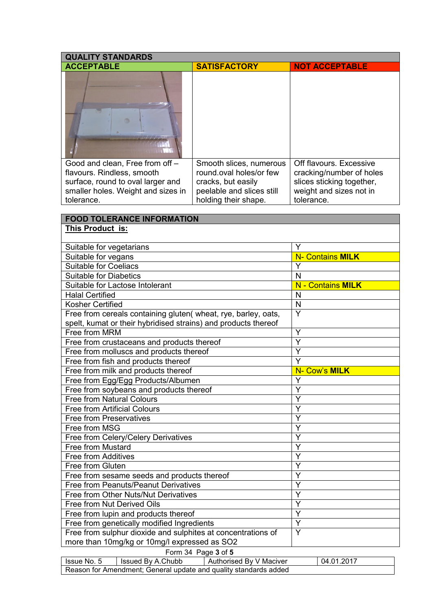| <b>QUALITY STANDARDS</b>                                       |                                                                  |                                       |  |  |  |
|----------------------------------------------------------------|------------------------------------------------------------------|---------------------------------------|--|--|--|
| <b>ACCEPTABLE</b>                                              | <b>SATISFACTORY</b>                                              | <b>NOT ACCEPTABLE</b>                 |  |  |  |
|                                                                |                                                                  |                                       |  |  |  |
| Good and clean, Free from off -                                | Smooth slices, numerous                                          | Off flavours. Excessive               |  |  |  |
| flavours. Rindless, smooth                                     | round.oval holes/or few                                          | cracking/number of holes              |  |  |  |
| surface, round to oval larger and                              | cracks, but easily                                               | slices sticking together,             |  |  |  |
| smaller holes. Weight and sizes in<br>tolerance.               | peelable and slices still                                        | weight and sizes not in<br>tolerance. |  |  |  |
|                                                                | holding their shape.                                             |                                       |  |  |  |
| <b>FOOD TOLERANCE INFORMATION</b>                              |                                                                  |                                       |  |  |  |
| This Product is:                                               |                                                                  |                                       |  |  |  |
|                                                                |                                                                  |                                       |  |  |  |
| Suitable for vegetarians                                       |                                                                  | Y                                     |  |  |  |
| Suitable for vegans                                            |                                                                  | N- Contains MILK                      |  |  |  |
| <b>Suitable for Coeliacs</b>                                   |                                                                  | Υ                                     |  |  |  |
| <b>Suitable for Diabetics</b>                                  |                                                                  | N                                     |  |  |  |
| Suitable for Lactose Intolerant                                |                                                                  | N - Contains MILK                     |  |  |  |
| <b>Halal Certified</b>                                         |                                                                  | N                                     |  |  |  |
| <b>Kosher Certified</b>                                        |                                                                  | N                                     |  |  |  |
| Free from cereals containing gluten( wheat, rye, barley, oats, |                                                                  | $\overline{\mathsf{Y}}$               |  |  |  |
| spelt, kumat or their hybridised strains) and products thereof |                                                                  |                                       |  |  |  |
| Free from MRM                                                  |                                                                  | Y                                     |  |  |  |
| Free from crustaceans and products thereof                     |                                                                  | Ý                                     |  |  |  |
| Free from molluscs and products thereof                        |                                                                  | Y                                     |  |  |  |
| Free from fish and products thereof                            |                                                                  | Y                                     |  |  |  |
| Free from milk and products thereof                            |                                                                  | N- Cow's MILK                         |  |  |  |
| Free from Egg/Egg Products/Albumen                             |                                                                  | Y                                     |  |  |  |
| Free from soybeans and products thereof                        |                                                                  | Ý                                     |  |  |  |
| <b>Free from Natural Colours</b>                               |                                                                  | Ý                                     |  |  |  |
| <b>Free from Artificial Colours</b>                            |                                                                  | Y                                     |  |  |  |
| <b>Free from Preservatives</b><br>Free from MSG                |                                                                  | Y<br>Y                                |  |  |  |
| Free from Celery/Celery Derivatives                            |                                                                  | Y                                     |  |  |  |
| Free from Mustard                                              |                                                                  | Ý                                     |  |  |  |
| <b>Free from Additives</b>                                     |                                                                  | Υ                                     |  |  |  |
| Free from Gluten                                               |                                                                  | Y                                     |  |  |  |
| Free from sesame seeds and products thereof                    | Ý                                                                |                                       |  |  |  |
| Free from Peanuts/Peanut Derivatives                           | Y                                                                |                                       |  |  |  |
| Free from Other Nuts/Nut Derivatives                           | Ÿ                                                                |                                       |  |  |  |
| Free from Nut Derived Oils                                     | Y                                                                |                                       |  |  |  |
| Free from lupin and products thereof                           | Y                                                                |                                       |  |  |  |
| Free from genetically modified Ingredients                     | Y                                                                |                                       |  |  |  |
| Free from sulphur dioxide and sulphites at concentrations of   | Y                                                                |                                       |  |  |  |
| more than 10mg/kg or 10mg/l expressed as SO2                   |                                                                  |                                       |  |  |  |
|                                                                | Form 34 Page 3 of 5                                              |                                       |  |  |  |
| Issue No. 5<br>Issued By A.Chubb                               | Authorised By V Maciver<br>04.01.2017                            |                                       |  |  |  |
|                                                                | Reason for Amendment; General update and quality standards added |                                       |  |  |  |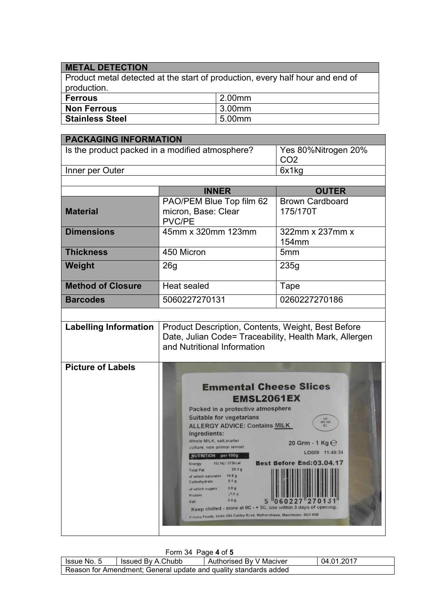## **METAL DETECTION**

Product metal detected at the start of production, every half hour and end of production.

| <b>Ferrous</b>         | 2.00mm |
|------------------------|--------|
| Non Ferrous            | 3.00mm |
| <b>Stainless Steel</b> | 5.00mm |

| <b>PACKAGING INFORMATION</b>                    |                                                                                                                                                                                                                                                                                                                                                                                                                                                                                                                                                                                                                                                                                                                                                              |                        |  |
|-------------------------------------------------|--------------------------------------------------------------------------------------------------------------------------------------------------------------------------------------------------------------------------------------------------------------------------------------------------------------------------------------------------------------------------------------------------------------------------------------------------------------------------------------------------------------------------------------------------------------------------------------------------------------------------------------------------------------------------------------------------------------------------------------------------------------|------------------------|--|
| Is the product packed in a modified atmosphere? |                                                                                                                                                                                                                                                                                                                                                                                                                                                                                                                                                                                                                                                                                                                                                              | Yes 80%Nitrogen 20%    |  |
|                                                 |                                                                                                                                                                                                                                                                                                                                                                                                                                                                                                                                                                                                                                                                                                                                                              | CO <sub>2</sub>        |  |
| Inner per Outer                                 |                                                                                                                                                                                                                                                                                                                                                                                                                                                                                                                                                                                                                                                                                                                                                              | 6x1kg                  |  |
|                                                 |                                                                                                                                                                                                                                                                                                                                                                                                                                                                                                                                                                                                                                                                                                                                                              |                        |  |
|                                                 | <b>INNER</b>                                                                                                                                                                                                                                                                                                                                                                                                                                                                                                                                                                                                                                                                                                                                                 | <b>OUTER</b>           |  |
|                                                 | PAO/PEM Blue Top film 62                                                                                                                                                                                                                                                                                                                                                                                                                                                                                                                                                                                                                                                                                                                                     | <b>Brown Cardboard</b> |  |
| <b>Material</b>                                 | micron, Base: Clear<br><b>PVC/PE</b>                                                                                                                                                                                                                                                                                                                                                                                                                                                                                                                                                                                                                                                                                                                         | 175/170T               |  |
| <b>Dimensions</b>                               | 45mm x 320mm 123mm                                                                                                                                                                                                                                                                                                                                                                                                                                                                                                                                                                                                                                                                                                                                           | 322mm x 237mm x        |  |
|                                                 |                                                                                                                                                                                                                                                                                                                                                                                                                                                                                                                                                                                                                                                                                                                                                              | 154mm                  |  |
| <b>Thickness</b>                                | 450 Micron                                                                                                                                                                                                                                                                                                                                                                                                                                                                                                                                                                                                                                                                                                                                                   | 5 <sub>mm</sub>        |  |
| Weight                                          | 26 <sub>g</sub>                                                                                                                                                                                                                                                                                                                                                                                                                                                                                                                                                                                                                                                                                                                                              | 235g                   |  |
| <b>Method of Closure</b>                        | Heat sealed                                                                                                                                                                                                                                                                                                                                                                                                                                                                                                                                                                                                                                                                                                                                                  | Tape                   |  |
| <b>Barcodes</b>                                 | 5060227270131                                                                                                                                                                                                                                                                                                                                                                                                                                                                                                                                                                                                                                                                                                                                                | 0260227270186          |  |
|                                                 |                                                                                                                                                                                                                                                                                                                                                                                                                                                                                                                                                                                                                                                                                                                                                              |                        |  |
| <b>Labelling Information</b>                    | Product Description, Contents, Weight, Best Before<br>Date, Julian Code= Traceability, Health Mark, Allergen<br>and Nutritional Information                                                                                                                                                                                                                                                                                                                                                                                                                                                                                                                                                                                                                  |                        |  |
| <b>Picture of Labels</b>                        | <b>Emmental Cheese Slices</b><br><b>EMSL2061EX</b><br>Packed in a protective atmosphere<br><b>Suitable for vegetarians</b><br>UK<br>MN 100<br><b>ALLERGY ADVICE: Contains MILK</b><br>EC<br>Ingredients:<br>Whole MILK, salt, starter<br>20 Grm - 1 Kg $\Theta$<br>culture, non animal rennet.<br>LO009 11:49:34<br>NUTRITION per 100g<br>Best Before End: 03.04.1<br>1551kj / 373kcal<br><b>Energy</b><br>29.0g<br><b>Total Fat</b><br>19.8 <sub>g</sub><br>of which saturates<br>0.1 <sub>g</sub><br>Carbohydrate<br>0.0 <sub>g</sub><br>of which sugars<br>29.09<br>Protein<br>0.9 <sub>g</sub><br>5<br>Salt<br>Keep chilled - store at 0C - + 5C, use within 3 days of opening.<br>Extons Foods, Units 586 Caldey Road, Wythenshawe, Manchester, M23 9GE |                        |  |

|                                                                  | Form 34 Page 4 of 5                                                       |  |  |  |  |
|------------------------------------------------------------------|---------------------------------------------------------------------------|--|--|--|--|
|                                                                  | 04.01.2017<br>Authorised By V Maciver<br>Issued By A.Chubb<br>Issue No. 5 |  |  |  |  |
| Reason for Amendment; General update and quality standards added |                                                                           |  |  |  |  |